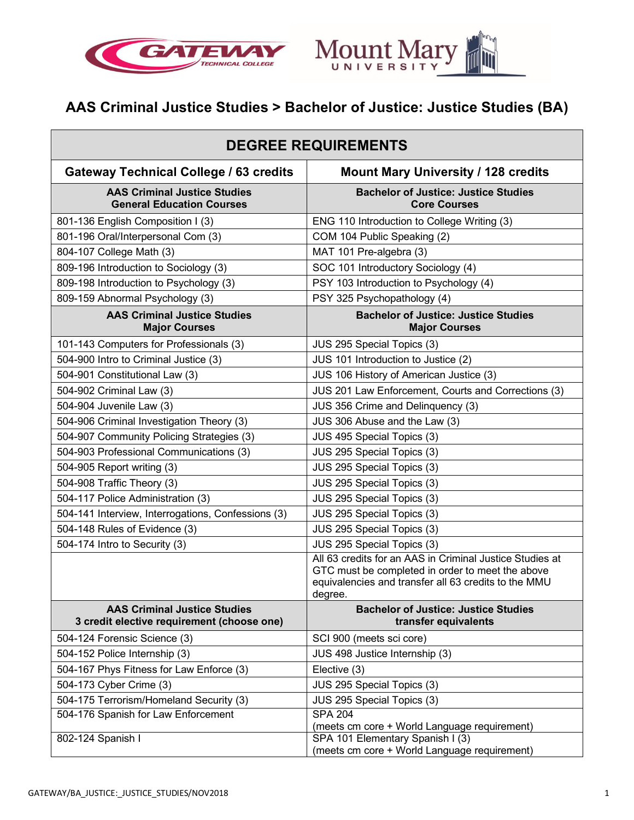



# **AAS Criminal Justice Studies > Bachelor of Justice: Justice Studies (BA)**

| <b>DEGREE REQUIREMENTS</b>                                                        |                                                                                                                                                                                 |
|-----------------------------------------------------------------------------------|---------------------------------------------------------------------------------------------------------------------------------------------------------------------------------|
| <b>Gateway Technical College / 63 credits</b>                                     | <b>Mount Mary University / 128 credits</b>                                                                                                                                      |
| <b>AAS Criminal Justice Studies</b><br><b>General Education Courses</b>           | <b>Bachelor of Justice: Justice Studies</b><br><b>Core Courses</b>                                                                                                              |
| 801-136 English Composition I (3)                                                 | ENG 110 Introduction to College Writing (3)                                                                                                                                     |
| 801-196 Oral/Interpersonal Com (3)                                                | COM 104 Public Speaking (2)                                                                                                                                                     |
| 804-107 College Math (3)                                                          | MAT 101 Pre-algebra (3)                                                                                                                                                         |
| 809-196 Introduction to Sociology (3)                                             | SOC 101 Introductory Sociology (4)                                                                                                                                              |
| 809-198 Introduction to Psychology (3)                                            | PSY 103 Introduction to Psychology (4)                                                                                                                                          |
| 809-159 Abnormal Psychology (3)                                                   | PSY 325 Psychopathology (4)                                                                                                                                                     |
| <b>AAS Criminal Justice Studies</b><br><b>Major Courses</b>                       | <b>Bachelor of Justice: Justice Studies</b><br><b>Major Courses</b>                                                                                                             |
| 101-143 Computers for Professionals (3)                                           | JUS 295 Special Topics (3)                                                                                                                                                      |
| 504-900 Intro to Criminal Justice (3)                                             | JUS 101 Introduction to Justice (2)                                                                                                                                             |
| 504-901 Constitutional Law (3)                                                    | JUS 106 History of American Justice (3)                                                                                                                                         |
| 504-902 Criminal Law (3)                                                          | JUS 201 Law Enforcement, Courts and Corrections (3)                                                                                                                             |
| 504-904 Juvenile Law (3)                                                          | JUS 356 Crime and Delinquency (3)                                                                                                                                               |
| 504-906 Criminal Investigation Theory (3)                                         | JUS 306 Abuse and the Law (3)                                                                                                                                                   |
| 504-907 Community Policing Strategies (3)                                         | JUS 495 Special Topics (3)                                                                                                                                                      |
| 504-903 Professional Communications (3)                                           | JUS 295 Special Topics (3)                                                                                                                                                      |
| 504-905 Report writing (3)                                                        | JUS 295 Special Topics (3)                                                                                                                                                      |
| 504-908 Traffic Theory (3)                                                        | JUS 295 Special Topics (3)                                                                                                                                                      |
| 504-117 Police Administration (3)                                                 | JUS 295 Special Topics (3)                                                                                                                                                      |
| 504-141 Interview, Interrogations, Confessions (3)                                | JUS 295 Special Topics (3)                                                                                                                                                      |
| 504-148 Rules of Evidence (3)                                                     | JUS 295 Special Topics (3)                                                                                                                                                      |
| 504-174 Intro to Security (3)                                                     | JUS 295 Special Topics (3)                                                                                                                                                      |
|                                                                                   | All 63 credits for an AAS in Criminal Justice Studies at<br>GTC must be completed in order to meet the above<br>equivalencies and transfer all 63 credits to the MMU<br>degree. |
| <b>AAS Criminal Justice Studies</b><br>3 credit elective requirement (choose one) | <b>Bachelor of Justice: Justice Studies</b><br>transfer equivalents                                                                                                             |
| 504-124 Forensic Science (3)                                                      | SCI 900 (meets sci core)                                                                                                                                                        |
| 504-152 Police Internship (3)                                                     | JUS 498 Justice Internship (3)                                                                                                                                                  |
| 504-167 Phys Fitness for Law Enforce (3)                                          | Elective (3)                                                                                                                                                                    |
| 504-173 Cyber Crime (3)                                                           | JUS 295 Special Topics (3)                                                                                                                                                      |
| 504-175 Terrorism/Homeland Security (3)                                           | JUS 295 Special Topics (3)                                                                                                                                                      |
| 504-176 Spanish for Law Enforcement                                               | <b>SPA 204</b>                                                                                                                                                                  |
|                                                                                   | (meets cm core + World Language requirement)                                                                                                                                    |
| 802-124 Spanish I                                                                 | SPA 101 Elementary Spanish I (3)<br>(meets cm core + World Language requirement)                                                                                                |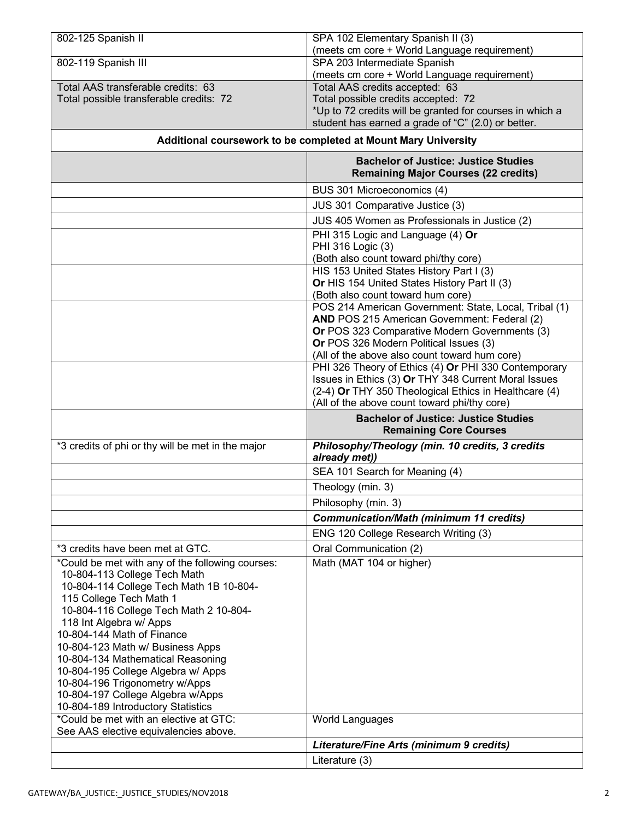| 802-125 Spanish II                                                                                                                                     | SPA 102 Elementary Spanish II (3)                                                                              |
|--------------------------------------------------------------------------------------------------------------------------------------------------------|----------------------------------------------------------------------------------------------------------------|
| 802-119 Spanish III                                                                                                                                    | (meets cm core + World Language requirement)<br>SPA 203 Intermediate Spanish                                   |
|                                                                                                                                                        | (meets cm core + World Language requirement)                                                                   |
| Total AAS transferable credits: 63                                                                                                                     | Total AAS credits accepted: 63                                                                                 |
| Total possible transferable credits: 72                                                                                                                | Total possible credits accepted: 72                                                                            |
|                                                                                                                                                        | *Up to 72 credits will be granted for courses in which a<br>student has earned a grade of "C" (2.0) or better. |
| Additional coursework to be completed at Mount Mary University                                                                                         |                                                                                                                |
|                                                                                                                                                        |                                                                                                                |
|                                                                                                                                                        | <b>Bachelor of Justice: Justice Studies</b><br><b>Remaining Major Courses (22 credits)</b>                     |
|                                                                                                                                                        | BUS 301 Microeconomics (4)                                                                                     |
|                                                                                                                                                        | JUS 301 Comparative Justice (3)                                                                                |
|                                                                                                                                                        | JUS 405 Women as Professionals in Justice (2)                                                                  |
|                                                                                                                                                        | PHI 315 Logic and Language (4) Or                                                                              |
|                                                                                                                                                        | PHI 316 Logic (3)                                                                                              |
|                                                                                                                                                        | (Both also count toward phi/thy core)<br>HIS 153 United States History Part I (3)                              |
|                                                                                                                                                        | Or HIS 154 United States History Part II (3)                                                                   |
|                                                                                                                                                        | (Both also count toward hum core)                                                                              |
|                                                                                                                                                        | POS 214 American Government: State, Local, Tribal (1)                                                          |
|                                                                                                                                                        | AND POS 215 American Government: Federal (2)<br>Or POS 323 Comparative Modern Governments (3)                  |
|                                                                                                                                                        | Or POS 326 Modern Political Issues (3)                                                                         |
|                                                                                                                                                        | (All of the above also count toward hum core)                                                                  |
|                                                                                                                                                        | PHI 326 Theory of Ethics (4) Or PHI 330 Contemporary                                                           |
|                                                                                                                                                        | Issues in Ethics (3) Or THY 348 Current Moral Issues                                                           |
|                                                                                                                                                        | (2-4) Or THY 350 Theological Ethics in Healthcare (4)<br>(All of the above count toward phi/thy core)          |
|                                                                                                                                                        | <b>Bachelor of Justice: Justice Studies</b>                                                                    |
|                                                                                                                                                        | <b>Remaining Core Courses</b>                                                                                  |
| *3 credits of phi or thy will be met in the major                                                                                                      | Philosophy/Theology (min. 10 credits, 3 credits<br>already met))                                               |
|                                                                                                                                                        | SEA 101 Search for Meaning (4)                                                                                 |
|                                                                                                                                                        | Theology (min. 3)                                                                                              |
|                                                                                                                                                        | Philosophy (min. 3)                                                                                            |
|                                                                                                                                                        | <b>Communication/Math (minimum 11 credits)</b>                                                                 |
|                                                                                                                                                        | ENG 120 College Research Writing (3)                                                                           |
| *3 credits have been met at GTC.                                                                                                                       | Oral Communication (2)                                                                                         |
| *Could be met with any of the following courses:<br>10-804-113 College Tech Math<br>10-804-114 College Tech Math 1B 10-804-<br>115 College Tech Math 1 | Math (MAT 104 or higher)                                                                                       |
| 10-804-116 College Tech Math 2 10-804-<br>118 Int Algebra w/ Apps                                                                                      |                                                                                                                |
| 10-804-144 Math of Finance                                                                                                                             |                                                                                                                |
| 10-804-123 Math w/ Business Apps                                                                                                                       |                                                                                                                |
| 10-804-134 Mathematical Reasoning                                                                                                                      |                                                                                                                |
| 10-804-195 College Algebra w/ Apps                                                                                                                     |                                                                                                                |
| 10-804-196 Trigonometry w/Apps<br>10-804-197 College Algebra w/Apps                                                                                    |                                                                                                                |
| 10-804-189 Introductory Statistics                                                                                                                     |                                                                                                                |
| *Could be met with an elective at GTC:                                                                                                                 | World Languages                                                                                                |
| See AAS elective equivalencies above.                                                                                                                  |                                                                                                                |
|                                                                                                                                                        | Literature/Fine Arts (minimum 9 credits)                                                                       |
|                                                                                                                                                        | Literature (3)                                                                                                 |